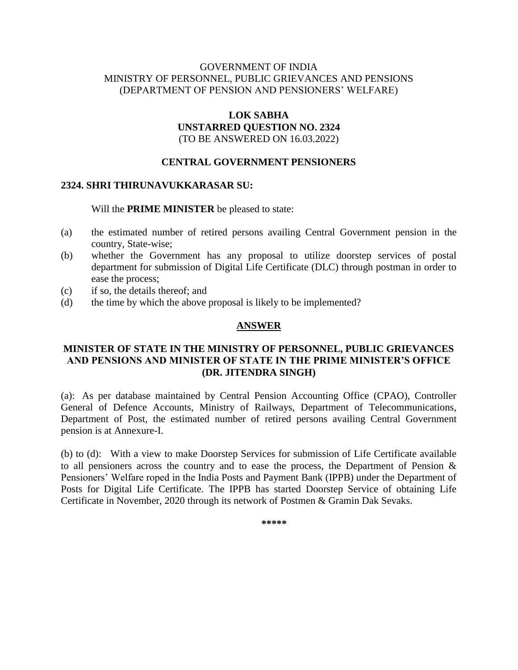# GOVERNMENT OF INDIA MINISTRY OF PERSONNEL, PUBLIC GRIEVANCES AND PENSIONS (DEPARTMENT OF PENSION AND PENSIONERS' WELFARE)

# **LOK SABHA UNSTARRED QUESTION NO. 2324** (TO BE ANSWERED ON 16.03.2022)

# **CENTRAL GOVERNMENT PENSIONERS**

#### **2324. SHRI THIRUNAVUKKARASAR SU:**

Will the **PRIME MINISTER** be pleased to state:

- (a) the estimated number of retired persons availing Central Government pension in the country, State-wise;
- (b) whether the Government has any proposal to utilize doorstep services of postal department for submission of Digital Life Certificate (DLC) through postman in order to ease the process;
- (c) if so, the details thereof; and
- (d) the time by which the above proposal is likely to be implemented?

#### **ANSWER**

# **MINISTER OF STATE IN THE MINISTRY OF PERSONNEL, PUBLIC GRIEVANCES AND PENSIONS AND MINISTER OF STATE IN THE PRIME MINISTER'S OFFICE (DR. JITENDRA SINGH)**

(a): As per database maintained by Central Pension Accounting Office (CPAO), Controller General of Defence Accounts, Ministry of Railways, Department of Telecommunications, Department of Post, the estimated number of retired persons availing Central Government pension is at Annexure-I.

(b) to (d): With a view to make Doorstep Services for submission of Life Certificate available to all pensioners across the country and to ease the process, the Department of Pension & Pensioners' Welfare roped in the India Posts and Payment Bank (IPPB) under the Department of Posts for Digital Life Certificate. The IPPB has started Doorstep Service of obtaining Life Certificate in November, 2020 through its network of Postmen & Gramin Dak Sevaks.

**\*\*\*\*\***